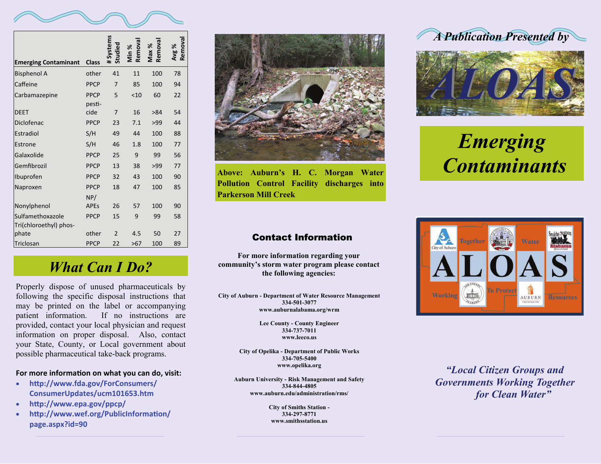

| <b>Emerging Contaminant</b>                | <b>Class</b>          | systems<br>Studied | Remova<br>Min % | Remova<br>Max % | Remova<br>Avg % |
|--------------------------------------------|-----------------------|--------------------|-----------------|-----------------|-----------------|
| <b>Bisphenol A</b>                         | other                 | 41                 | 11              | 100             | 78              |
| Caffeine                                   | <b>PPCP</b>           | 7                  | 85              | 100             | 94              |
| Carbamazepine                              | <b>PPCP</b><br>pesti- | 5                  | < 10            | 60              | 22              |
| <b>DEET</b>                                | cide                  | 7                  | 16              | >84             | 54              |
| Diclofenac                                 | <b>PPCP</b>           | 23                 | 7.1             | >99             | 44              |
| Estradiol                                  | S/H                   | 49                 | 44              | 100             | 88              |
| Estrone                                    | S/H                   | 46                 | 1.8             | 100             | 77              |
| Galaxolide                                 | <b>PPCP</b>           | 25                 | 9               | 99              | 56              |
| Gemfibrozil                                | <b>PPCP</b>           | 13                 | 38              | >99             | 77              |
| Ibuprofen                                  | <b>PPCP</b>           | 32                 | 43              | 100             | 90              |
| Naproxen                                   | <b>PPCP</b><br>NP/    | 18                 | 47              | 100             | 85              |
| Nonylphenol                                | <b>APEs</b>           | 26                 | 57              | 100             | 90              |
| Sulfamethoxazole<br>Tri(chloroethyl) phos- | <b>PPCP</b>           | 15                 | 9               | 99              | 58              |
| phate                                      | other                 | $\mathfrak{p}$     | 4.5             | 50              | 27              |
| Triclosan                                  | <b>PPCP</b>           | 22                 | >67             | 100             | 89              |

**Above: Auburn's H. C. Morgan Water Pollution Control Facility discharges into Parkerson Mill Creek** 

### Contact Information

**For more information regarding your community's storm water program please contact the following agencies:** 

**City of Auburn - Department of Water Resource Management 334-501-3077 www.auburnalabama.org/wrm** 

> **Lee County - County Engineer 334-737-7011 www.leeco.us**

**City of Opelika - Department of Public Works 334-705-5400 www.opelika.org** 

**Auburn University - Risk Management and Safety 334-844-4805 www.auburn.edu/administration/rms/** 

> **City of Smiths Station - 334-297-8771 www.smithsstation.us**





## *Emerging Contaminants*



*"Local Citizen Groups and Governments Working Together for Clean Water"* 

## *What Can I Do?*

Properly dispose of unused pharmaceuticals by following the specific disposal instructions that may be printed on the label or accompanying patient information. If no instructions are provided, contact your local physician and request information on proper disposal. Also, contact your State, County, or Local government about possible pharmaceutical take-back programs.

#### **For more informa Ɵon on what you can do, visit:**

- $\bullet$  **h <sup>Ʃ</sup>p://www.fda.gov/ForConsumers/ ConsumerUpdates/ucm101653.htm**
- $\bullet$ **h <sup>Ʃ</sup>p://www.epa.gov/ppcp/**
- $\bullet$ **nttp://www.wef.org/PublicInformation/ page.aspx?id=90**